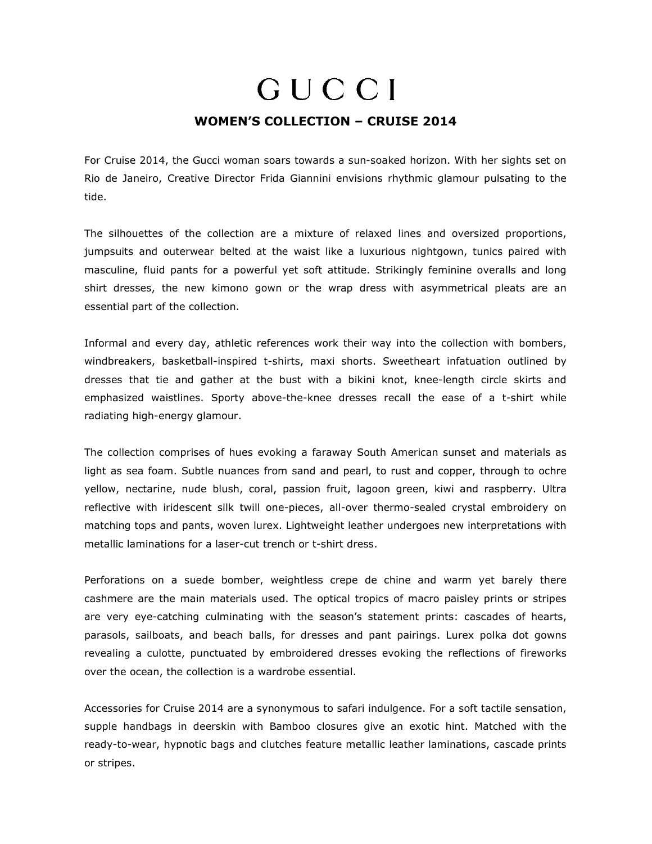## GUCCI WOMEN'S COLLECTION – CRUISE 2014

For Cruise 2014, the Gucci woman soars towards a sun-soaked horizon. With her sights set on Rio de Janeiro, Creative Director Frida Giannini envisions rhythmic glamour pulsating to the tide.

The silhouettes of the collection are a mixture of relaxed lines and oversized proportions, jumpsuits and outerwear belted at the waist like a luxurious nightgown, tunics paired with masculine, fluid pants for a powerful yet soft attitude. Strikingly feminine overalls and long shirt dresses, the new kimono gown or the wrap dress with asymmetrical pleats are an essential part of the collection.

Informal and every day, athletic references work their way into the collection with bombers, windbreakers, basketball-inspired t-shirts, maxi shorts. Sweetheart infatuation outlined by dresses that tie and gather at the bust with a bikini knot, knee-length circle skirts and emphasized waistlines. Sporty above-the-knee dresses recall the ease of a t-shirt while radiating high-energy glamour.

The collection comprises of hues evoking a faraway South American sunset and materials as light as sea foam. Subtle nuances from sand and pearl, to rust and copper, through to ochre yellow, nectarine, nude blush, coral, passion fruit, lagoon green, kiwi and raspberry. Ultra reflective with iridescent silk twill one-pieces, all-over thermo-sealed crystal embroidery on matching tops and pants, woven lurex. Lightweight leather undergoes new interpretations with metallic laminations for a laser-cut trench or t-shirt dress.

Perforations on a suede bomber, weightless crepe de chine and warm yet barely there cashmere are the main materials used. The optical tropics of macro paisley prints or stripes are very eye-catching culminating with the season's statement prints: cascades of hearts, parasols, sailboats, and beach balls, for dresses and pant pairings. Lurex polka dot gowns revealing a culotte, punctuated by embroidered dresses evoking the reflections of fireworks over the ocean, the collection is a wardrobe essential.

Accessories for Cruise 2014 are a synonymous to safari indulgence. For a soft tactile sensation, supple handbags in deerskin with Bamboo closures give an exotic hint. Matched with the ready-to-wear, hypnotic bags and clutches feature metallic leather laminations, cascade prints or stripes.